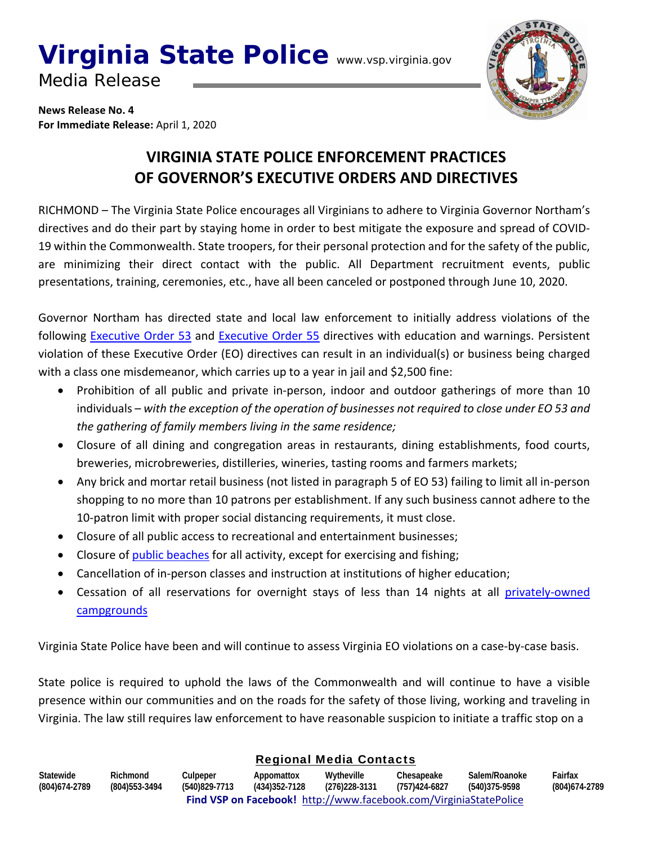# **Virginia State Police** www.vsp.virginia.gov

Media Release



**News Release No. 4 For Immediate Release:** April 1, 2020

### **VIRGINIA STATE POLICE ENFORCEMENT PRACTICES OF GOVERNOR'S EXECUTIVE ORDERS AND DIRECTIVES**

RICHMOND – The Virginia State Police encourages all Virginians to adhere to Virginia Governor Northam's directives and do their part by staying home in order to best mitigate the exposure and spread of COVID‐ 19 within the Commonwealth. State troopers, for their personal protection and for the safety of the public, are minimizing their direct contact with the public. All Department recruitment events, public presentations, training, ceremonies, etc., have all been canceled or postponed through June 10, 2020.

Governor Northam has directed state and local law enforcement to initially address violations of the following Executive Order 53 and Executive Order 55 directives with education and warnings. Persistent violation of these Executive Order (EO) directives can result in an individual(s) or business being charged with a class one misdemeanor, which carries up to a year in jail and \$2,500 fine:

- Prohibition of all public and private in-person, indoor and outdoor gatherings of more than 10 individuals – *with the exception of the operation of businesses not required to close under EO 53 and the gathering of family members living in the same residence;*
- Closure of all dining and congregation areas in restaurants, dining establishments, food courts, breweries, microbreweries, distilleries, wineries, tasting rooms and farmers markets;
- Any brick and mortar retail business (not listed in paragraph 5 of EO 53) failing to limit all in‐person shopping to no more than 10 patrons per establishment. If any such business cannot adhere to the 10-patron limit with proper social distancing requirements, it must close.
- Closure of all public access to recreational and entertainment businesses;
- Closure of **public beaches** for all activity, except for exercising and fishing;
- Cancellation of in-person classes and instruction at institutions of higher education;
- Cessation of all reservations for overnight stays of less than 14 nights at all privately-owned **campgrounds**

Virginia State Police have been and will continue to assess Virginia EO violations on a case‐by‐case basis.

State police is required to uphold the laws of the Commonwealth and will continue to have a visible presence within our communities and on the roads for the safety of those living, working and traveling in Virginia. The law still requires law enforcement to have reasonable suspicion to initiate a traffic stop on a

#### Regional Media Contacts

| Statewide                                                         | Richmond       | Culpeper      | Appomattox    | Wytheville    | Chesapeake    | Salem/Roanoke | Fairfax        |  |  |  |
|-------------------------------------------------------------------|----------------|---------------|---------------|---------------|---------------|---------------|----------------|--|--|--|
| (804) 674-2789                                                    | (804) 553-3494 | (540)829-7713 | (434)352-7128 | (276)228-3131 | (757)424-6827 | (540)375-9598 | (804) 674-2789 |  |  |  |
| Find VSP on Facebook! http://www.facebook.com/VirginiaStatePolice |                |               |               |               |               |               |                |  |  |  |